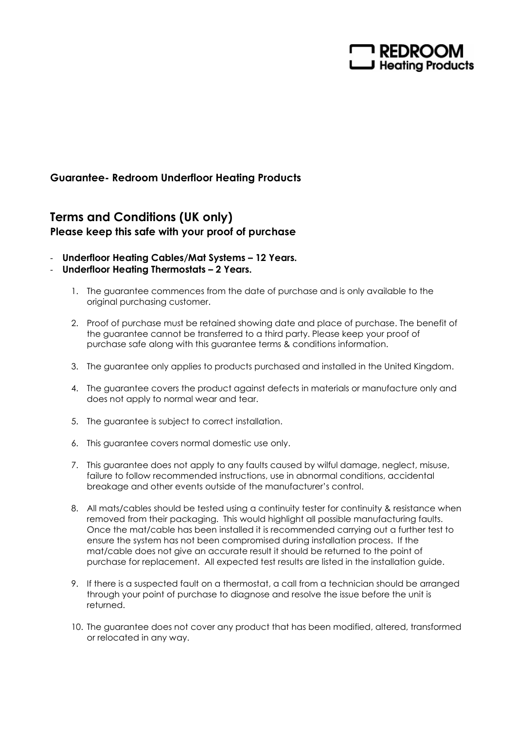

## Guarantee- Redroom Underfloor Heating Products

## Terms and Conditions (UK only) Please keep this safe with your proof of purchase

- Underfloor Heating Cables/Mat Systems 12 Years.
- Underfloor Heating Thermostats 2 Years.
	- 1. The guarantee commences from the date of purchase and is only available to the original purchasing customer.
	- 2. Proof of purchase must be retained showing date and place of purchase. The benefit of the guarantee cannot be transferred to a third party. Please keep your proof of purchase safe along with this guarantee terms & conditions information.
	- 3. The guarantee only applies to products purchased and installed in the United Kingdom.
	- 4. The guarantee covers the product against defects in materials or manufacture only and does not apply to normal wear and tear.
	- 5. The guarantee is subject to correct installation.
	- 6. This guarantee covers normal domestic use only.
	- 7. This guarantee does not apply to any faults caused by wilful damage, neglect, misuse, failure to follow recommended instructions, use in abnormal conditions, accidental breakage and other events outside of the manufacturer's control.
	- 8. All mats/cables should be tested using a continuity tester for continuity & resistance when removed from their packaging. This would highlight all possible manufacturing faults. Once the mat/cable has been installed it is recommended carrying out a further test to ensure the system has not been compromised during installation process. If the mat/cable does not give an accurate result it should be returned to the point of purchase for replacement. All expected test results are listed in the installation guide.
	- 9. If there is a suspected fault on a thermostat, a call from a technician should be arranged through your point of purchase to diagnose and resolve the issue before the unit is returned.
	- 10. The guarantee does not cover any product that has been modified, altered, transformed or relocated in any way.